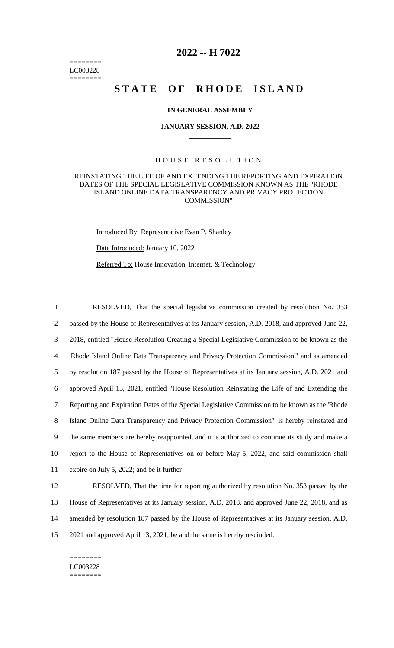======== LC003228 ========

# **2022 -- H 7022**

# STATE OF RHODE ISLAND

### **IN GENERAL ASSEMBLY**

#### **JANUARY SESSION, A.D. 2022 \_\_\_\_\_\_\_\_\_\_\_\_**

## H O U S E R E S O L U T I O N

#### REINSTATING THE LIFE OF AND EXTENDING THE REPORTING AND EXPIRATION DATES OF THE SPECIAL LEGISLATIVE COMMISSION KNOWN AS THE "RHODE ISLAND ONLINE DATA TRANSPARENCY AND PRIVACY PROTECTION COMMISSION"

Introduced By: Representative Evan P. Shanley

Date Introduced: January 10, 2022

Referred To: House Innovation, Internet, & Technology

 RESOLVED, That the special legislative commission created by resolution No. 353 passed by the House of Representatives at its January session, A.D. 2018, and approved June 22, 2018, entitled "House Resolution Creating a Special Legislative Commission to be known as the 'Rhode Island Online Data Transparency and Privacy Protection Commission'" and as amended by resolution 187 passed by the House of Representatives at its January session, A.D. 2021 and approved April 13, 2021, entitled "House Resolution Reinstating the Life of and Extending the Reporting and Expiration Dates of the Special Legislative Commission to be known as the 'Rhode Island Online Data Transparency and Privacy Protection Commission'" is hereby reinstated and the same members are hereby reappointed, and it is authorized to continue its study and make a report to the House of Representatives on or before May 5, 2022, and said commission shall expire on July 5, 2022; and be it further RESOLVED, That the time for reporting authorized by resolution No. 353 passed by the

13 House of Representatives at its January session, A.D. 2018, and approved June 22, 2018, and as 14 amended by resolution 187 passed by the House of Representatives at its January session, A.D. 15 2021 and approved April 13, 2021, be and the same is hereby rescinded.

======== LC003228 ========